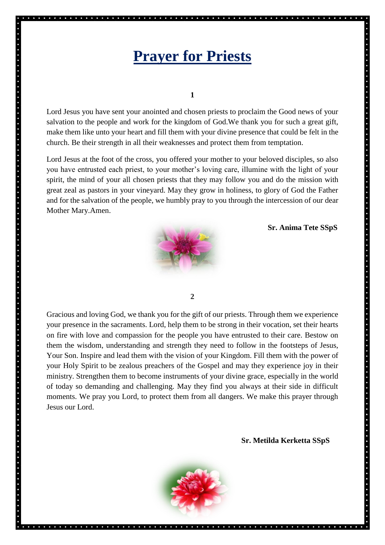## **Prayer for Priests**

**1**

Lord Jesus you have sent your anointed and chosen priests to proclaim the Good news of your salvation to the people and work for the kingdom of God.We thank you for such a great gift, make them like unto your heart and fill them with your divine presence that could be felt in the church. Be their strength in all their weaknesses and protect them from temptation.

Lord Jesus at the foot of the cross, you offered your mother to your beloved disciples, so also you have entrusted each priest, to your mother's loving care, illumine with the light of your spirit, the mind of your all chosen priests that they may follow you and do the mission with great zeal as pastors in your vineyard. May they grow in holiness, to glory of God the Father and for the salvation of the people, we humbly pray to you through the intercession of our dear Mother Mary.Amen.



 **Sr. Anima Tete SSpS**

**2**

Gracious and loving God, we thank you for the gift of our priests. Through them we experience your presence in the sacraments. Lord, help them to be strong in their vocation, set their hearts on fire with love and compassion for the people you have entrusted to their care. Bestow on them the wisdom, understanding and strength they need to follow in the footsteps of Jesus, Your Son. Inspire and lead them with the vision of your Kingdom. Fill them with the power of your Holy Spirit to be zealous preachers of the Gospel and may they experience joy in their ministry. Strengthen them to become instruments of your divine grace, especially in the world of today so demanding and challenging. May they find you always at their side in difficult moments. We pray you Lord, to protect them from all dangers. We make this prayer through Jesus our Lord.

**Sr. Metilda Kerketta SSpS**